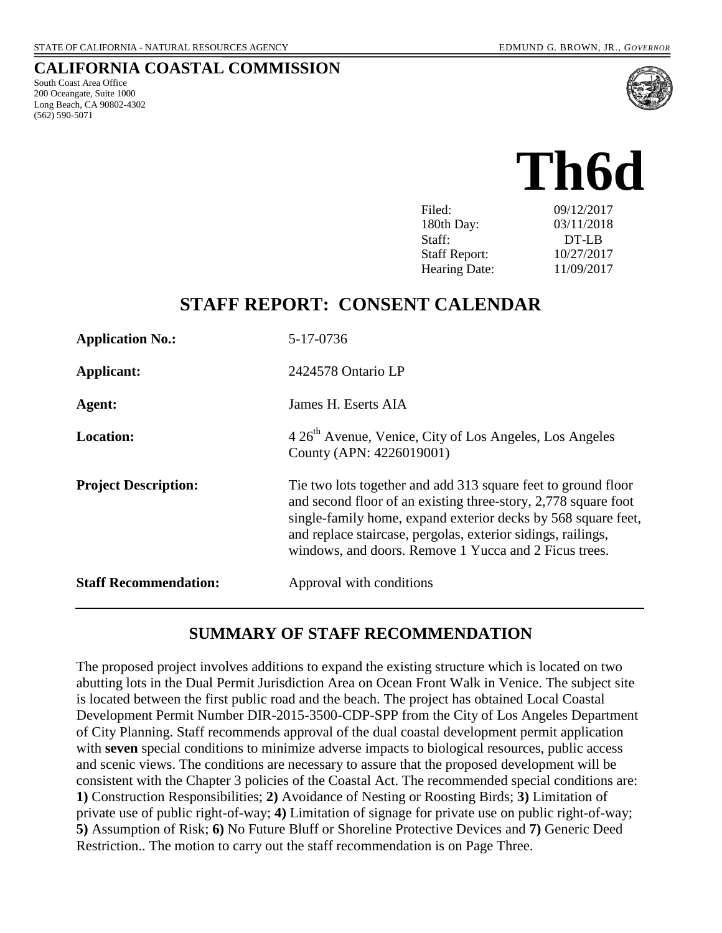#### **CALIFORNIA COASTAL COMMISSION**

South Coast Area Office 200 Oceangate, Suite 1000 Long Beach, CA 90802-4302 (562) 590-5071



# **Th6d** Filed: 09/12/2017

180th Day: 03/11/2018 Staff: DT-LB Staff Report: 10/27/2017 Hearing Date: 11/09/2017

## **STAFF REPORT: CONSENT CALENDAR**

| <b>Application No.:</b>      | 5-17-0736                                                                                                                                                                                                                                                                                                                 |
|------------------------------|---------------------------------------------------------------------------------------------------------------------------------------------------------------------------------------------------------------------------------------------------------------------------------------------------------------------------|
| Applicant:                   | 2424578 Ontario LP                                                                                                                                                                                                                                                                                                        |
| Agent:                       | James H. Eserts AIA                                                                                                                                                                                                                                                                                                       |
| <b>Location:</b>             | 4 26 <sup>th</sup> Avenue, Venice, City of Los Angeles, Los Angeles<br>County (APN: 4226019001)                                                                                                                                                                                                                           |
| <b>Project Description:</b>  | The two lots together and add 313 square feet to ground floor<br>and second floor of an existing three-story, 2,778 square foot<br>single-family home, expand exterior decks by 568 square feet,<br>and replace staircase, pergolas, exterior sidings, railings,<br>windows, and doors. Remove 1 Yucca and 2 Ficus trees. |
| <b>Staff Recommendation:</b> | Approval with conditions                                                                                                                                                                                                                                                                                                  |

## **SUMMARY OF STAFF RECOMMENDATION**

The proposed project involves additions to expand the existing structure which is located on two abutting lots in the Dual Permit Jurisdiction Area on Ocean Front Walk in Venice. The subject site is located between the first public road and the beach. The project has obtained Local Coastal Development Permit Number DIR-2015-3500-CDP-SPP from the City of Los Angeles Department of City Planning. Staff recommends approval of the dual coastal development permit application with **seven** special conditions to minimize adverse impacts to biological resources, public access and scenic views. The conditions are necessary to assure that the proposed development will be consistent with the Chapter 3 policies of the Coastal Act. The recommended special conditions are: **1)** Construction Responsibilities; **2)** Avoidance of Nesting or Roosting Birds; **3)** Limitation of private use of public right-of-way; **4)** Limitation of signage for private use on public right-of-way; **5)** Assumption of Risk; **6)** No Future Bluff or Shoreline Protective Devices and **7)** Generic Deed Restriction.. The motion to carry out the staff recommendation is on Page Three.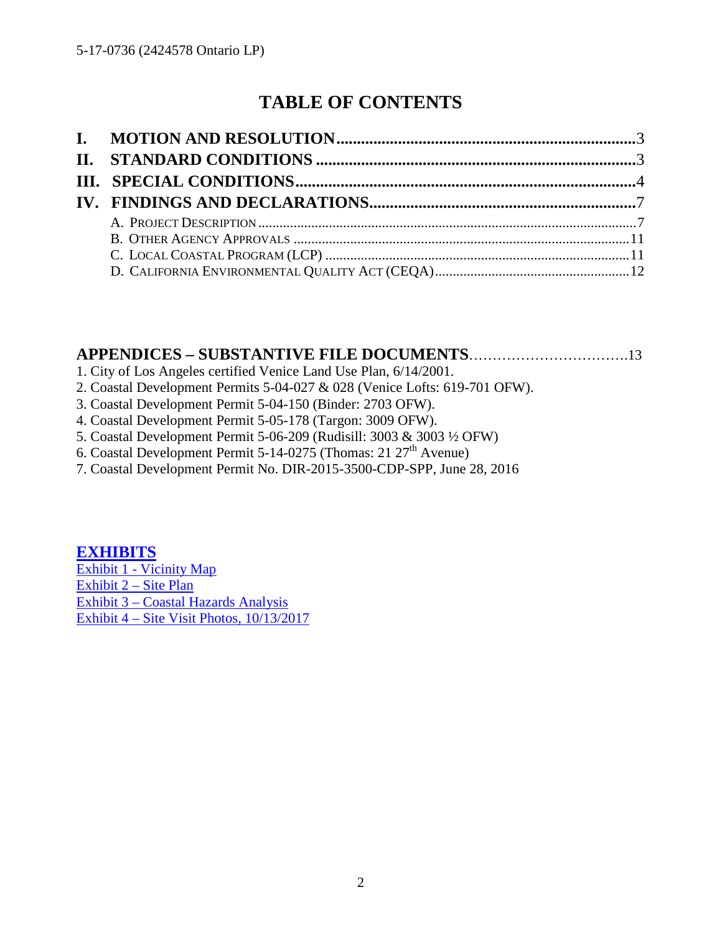## **TABLE OF CONTENTS**

## **APPENDICES – SUBSTANTIVE FILE DOCUMENTS**…………………………….13

- 1. City of Los Angeles certified Venice Land Use Plan, 6/14/2001.
- 2. Coastal Development Permits 5-04-027 & 028 (Venice Lofts: 619-701 OFW).
- 3. Coastal Development Permit 5-04-150 (Binder: 2703 OFW).
- 4. Coastal Development Permit 5-05-178 (Targon: 3009 OFW).
- 5. Coastal Development Permit 5-06-209 (Rudisill: 3003 & 3003 ½ OFW)
- 6. Coastal Development Permit 5-14-0275 (Thomas: 21  $27<sup>th</sup>$  Avenue)
- 7. Coastal Development Permit No. DIR-2015-3500-CDP-SPP, June 28, 2016

## **[EXHIBITS](https://documents.coastal.ca.gov/reports/2017/11/Th6d/Th6d-11-2017-exhibits.pdf)**

[Exhibit 1 - Vicinity Map](https://documents.coastal.ca.gov/reports/2017/11/Th6d/Th6d-11-2017-exhibits.pdf) [Exhibit 2 – Site Plan](https://documents.coastal.ca.gov/reports/2017/11/Th6d/Th6d-11-2017-exhibits.pdf) [Exhibit 3 – Coastal Hazards Analysis](https://documents.coastal.ca.gov/reports/2017/11/Th6d/Th6d-11-2017-exhibits.pdf) [Exhibit 4 – Site Visit Photos, 10/13/2017](https://documents.coastal.ca.gov/reports/2017/11/Th6d/Th6d-11-2017-exhibits.pdf)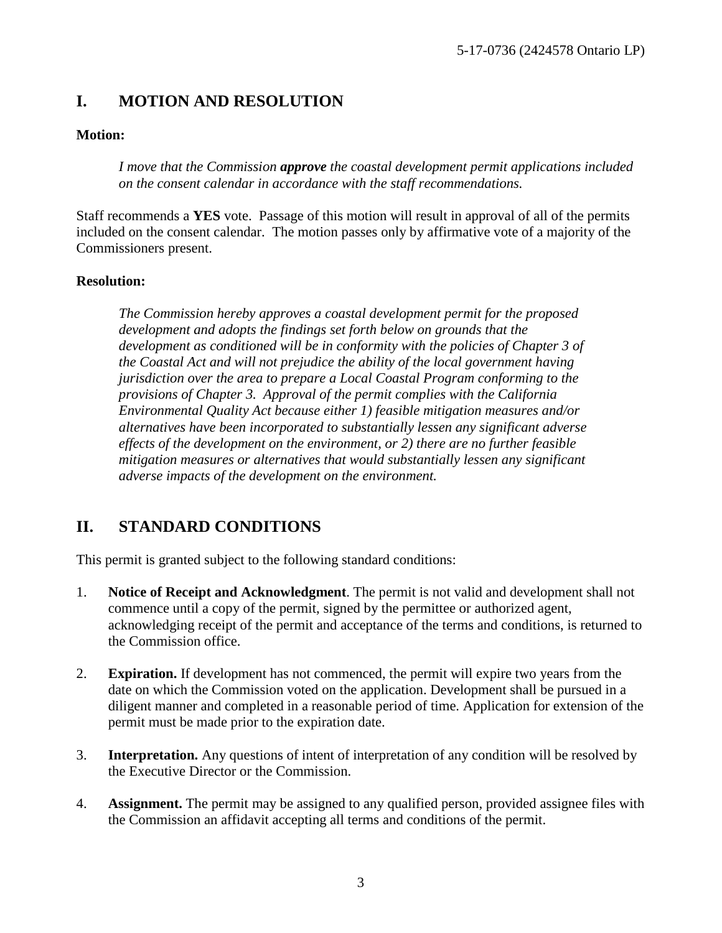## <span id="page-2-0"></span>**I. MOTION AND RESOLUTION**

#### **Motion:**

*I move that the Commission approve the coastal development permit applications included on the consent calendar in accordance with the staff recommendations.*

Staff recommends a **YES** vote. Passage of this motion will result in approval of all of the permits included on the consent calendar. The motion passes only by affirmative vote of a majority of the Commissioners present.

#### **Resolution:**

*The Commission hereby approves a coastal development permit for the proposed development and adopts the findings set forth below on grounds that the development as conditioned will be in conformity with the policies of Chapter 3 of the Coastal Act and will not prejudice the ability of the local government having jurisdiction over the area to prepare a Local Coastal Program conforming to the provisions of Chapter 3. Approval of the permit complies with the California Environmental Quality Act because either 1) feasible mitigation measures and/or alternatives have been incorporated to substantially lessen any significant adverse effects of the development on the environment, or 2) there are no further feasible mitigation measures or alternatives that would substantially lessen any significant adverse impacts of the development on the environment.* 

## <span id="page-2-1"></span>**II. STANDARD CONDITIONS**

This permit is granted subject to the following standard conditions:

- 1. **Notice of Receipt and Acknowledgment**. The permit is not valid and development shall not commence until a copy of the permit, signed by the permittee or authorized agent, acknowledging receipt of the permit and acceptance of the terms and conditions, is returned to the Commission office.
- 2. **Expiration.** If development has not commenced, the permit will expire two years from the date on which the Commission voted on the application. Development shall be pursued in a diligent manner and completed in a reasonable period of time. Application for extension of the permit must be made prior to the expiration date.
- 3. **Interpretation.** Any questions of intent of interpretation of any condition will be resolved by the Executive Director or the Commission.
- 4. **Assignment.** The permit may be assigned to any qualified person, provided assignee files with the Commission an affidavit accepting all terms and conditions of the permit.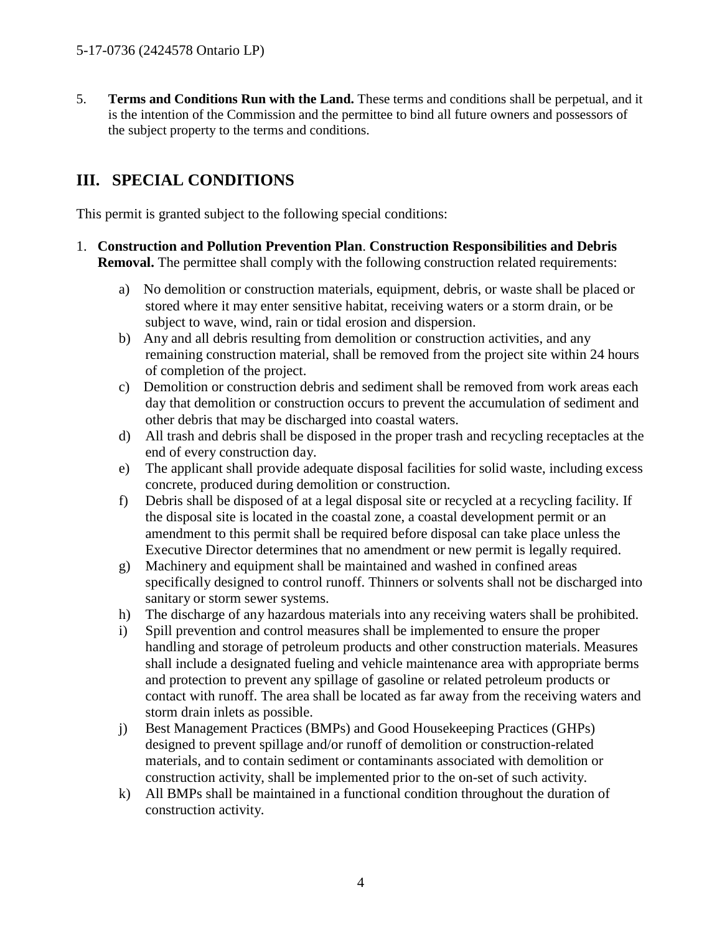5. **Terms and Conditions Run with the Land.** These terms and conditions shall be perpetual, and it is the intention of the Commission and the permittee to bind all future owners and possessors of the subject property to the terms and conditions.

## <span id="page-3-0"></span>**III. SPECIAL CONDITIONS**

This permit is granted subject to the following special conditions:

- 1. **Construction and Pollution Prevention Plan**. **Construction Responsibilities and Debris Removal.** The permittee shall comply with the following construction related requirements:
	- a) No demolition or construction materials, equipment, debris, or waste shall be placed or stored where it may enter sensitive habitat, receiving waters or a storm drain, or be subject to wave, wind, rain or tidal erosion and dispersion.
	- b) Any and all debris resulting from demolition or construction activities, and any remaining construction material, shall be removed from the project site within 24 hours of completion of the project.
	- c) Demolition or construction debris and sediment shall be removed from work areas each day that demolition or construction occurs to prevent the accumulation of sediment and other debris that may be discharged into coastal waters.
	- d) All trash and debris shall be disposed in the proper trash and recycling receptacles at the end of every construction day.
	- e) The applicant shall provide adequate disposal facilities for solid waste, including excess concrete, produced during demolition or construction.
	- f) Debris shall be disposed of at a legal disposal site or recycled at a recycling facility. If the disposal site is located in the coastal zone, a coastal development permit or an amendment to this permit shall be required before disposal can take place unless the Executive Director determines that no amendment or new permit is legally required.
	- g) Machinery and equipment shall be maintained and washed in confined areas specifically designed to control runoff. Thinners or solvents shall not be discharged into sanitary or storm sewer systems.
	- h) The discharge of any hazardous materials into any receiving waters shall be prohibited.
	- i) Spill prevention and control measures shall be implemented to ensure the proper handling and storage of petroleum products and other construction materials. Measures shall include a designated fueling and vehicle maintenance area with appropriate berms and protection to prevent any spillage of gasoline or related petroleum products or contact with runoff. The area shall be located as far away from the receiving waters and storm drain inlets as possible.
	- j) Best Management Practices (BMPs) and Good Housekeeping Practices (GHPs) designed to prevent spillage and/or runoff of demolition or construction-related materials, and to contain sediment or contaminants associated with demolition or construction activity, shall be implemented prior to the on-set of such activity.
	- k) All BMPs shall be maintained in a functional condition throughout the duration of construction activity.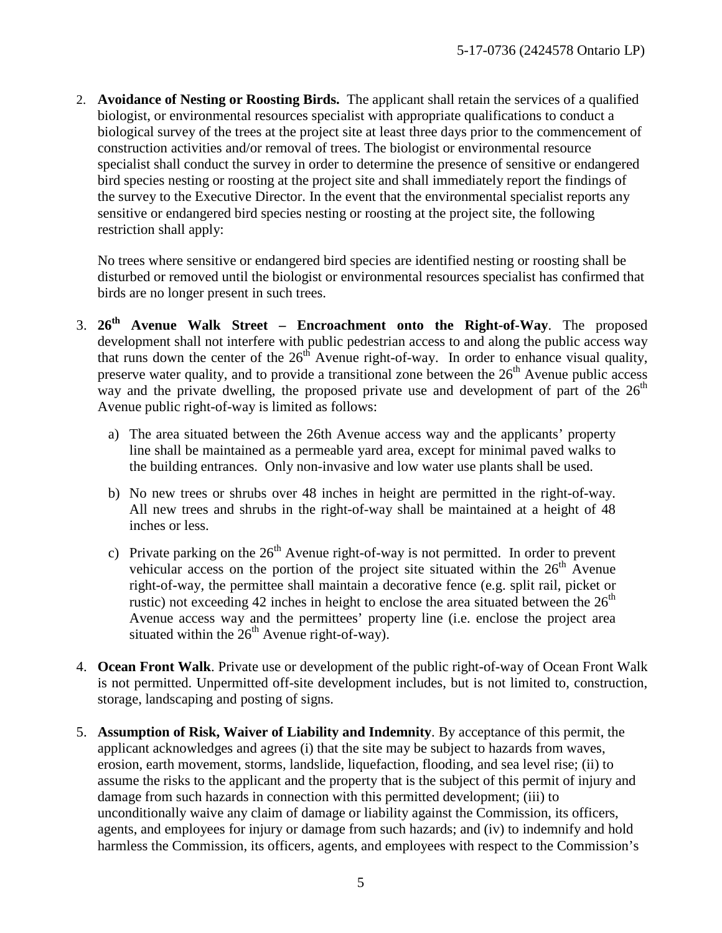2. **Avoidance of Nesting or Roosting Birds.** The applicant shall retain the services of a qualified biologist, or environmental resources specialist with appropriate qualifications to conduct a biological survey of the trees at the project site at least three days prior to the commencement of construction activities and/or removal of trees. The biologist or environmental resource specialist shall conduct the survey in order to determine the presence of sensitive or endangered bird species nesting or roosting at the project site and shall immediately report the findings of the survey to the Executive Director. In the event that the environmental specialist reports any sensitive or endangered bird species nesting or roosting at the project site, the following restriction shall apply:

No trees where sensitive or endangered bird species are identified nesting or roosting shall be disturbed or removed until the biologist or environmental resources specialist has confirmed that birds are no longer present in such trees.

- 3. **26th Avenue Walk Street Encroachment onto the Right-of-Way**. The proposed development shall not interfere with public pedestrian access to and along the public access way that runs down the center of the  $26<sup>th</sup>$  Avenue right-of-way. In order to enhance visual quality, preserve water quality, and to provide a transitional zone between the  $26<sup>th</sup>$  Avenue public access way and the private dwelling, the proposed private use and development of part of the  $26<sup>th</sup>$ Avenue public right-of-way is limited as follows:
	- a) The area situated between the 26th Avenue access way and the applicants' property line shall be maintained as a permeable yard area, except for minimal paved walks to the building entrances. Only non-invasive and low water use plants shall be used.
	- b) No new trees or shrubs over 48 inches in height are permitted in the right-of-way. All new trees and shrubs in the right-of-way shall be maintained at a height of 48 inches or less.
	- c) Private parking on the  $26<sup>th</sup>$  Avenue right-of-way is not permitted. In order to prevent vehicular access on the portion of the project site situated within the  $26<sup>th</sup>$  Avenue right-of-way, the permittee shall maintain a decorative fence (e.g. split rail, picket or rustic) not exceeding 42 inches in height to enclose the area situated between the  $26<sup>th</sup>$ Avenue access way and the permittees' property line (i.e. enclose the project area situated within the  $26<sup>th</sup>$  Avenue right-of-way).
- 4. **Ocean Front Walk**. Private use or development of the public right-of-way of Ocean Front Walk is not permitted. Unpermitted off-site development includes, but is not limited to, construction, storage, landscaping and posting of signs.
- 5. **Assumption of Risk, Waiver of Liability and Indemnity**. By acceptance of this permit, the applicant acknowledges and agrees (i) that the site may be subject to hazards from waves, erosion, earth movement, storms, landslide, liquefaction, flooding, and sea level rise; (ii) to assume the risks to the applicant and the property that is the subject of this permit of injury and damage from such hazards in connection with this permitted development; (iii) to unconditionally waive any claim of damage or liability against the Commission, its officers, agents, and employees for injury or damage from such hazards; and (iv) to indemnify and hold harmless the Commission, its officers, agents, and employees with respect to the Commission's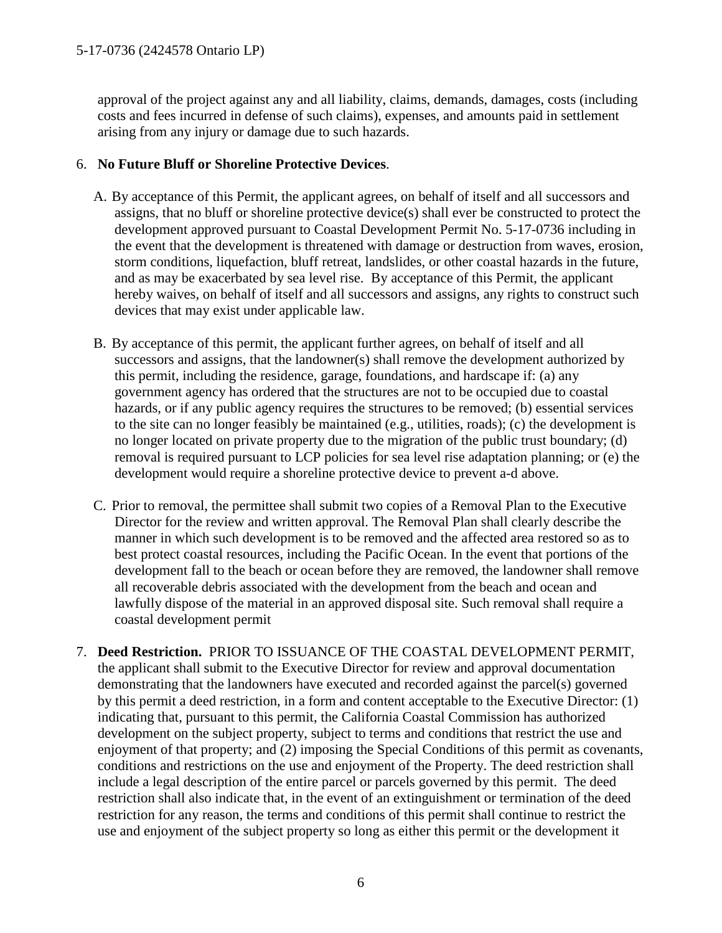approval of the project against any and all liability, claims, demands, damages, costs (including costs and fees incurred in defense of such claims), expenses, and amounts paid in settlement arising from any injury or damage due to such hazards.

#### 6. **No Future Bluff or Shoreline Protective Devices**.

- A. By acceptance of this Permit, the applicant agrees, on behalf of itself and all successors and assigns, that no bluff or shoreline protective device(s) shall ever be constructed to protect the development approved pursuant to Coastal Development Permit No. 5-17-0736 including in the event that the development is threatened with damage or destruction from waves, erosion, storm conditions, liquefaction, bluff retreat, landslides, or other coastal hazards in the future, and as may be exacerbated by sea level rise. By acceptance of this Permit, the applicant hereby waives, on behalf of itself and all successors and assigns, any rights to construct such devices that may exist under applicable law.
- B. By acceptance of this permit, the applicant further agrees, on behalf of itself and all successors and assigns, that the landowner(s) shall remove the development authorized by this permit, including the residence, garage, foundations, and hardscape if: (a) any government agency has ordered that the structures are not to be occupied due to coastal hazards, or if any public agency requires the structures to be removed; (b) essential services to the site can no longer feasibly be maintained (e.g., utilities, roads); (c) the development is no longer located on private property due to the migration of the public trust boundary; (d) removal is required pursuant to LCP policies for sea level rise adaptation planning; or (e) the development would require a shoreline protective device to prevent a-d above.
- C. Prior to removal, the permittee shall submit two copies of a Removal Plan to the Executive Director for the review and written approval. The Removal Plan shall clearly describe the manner in which such development is to be removed and the affected area restored so as to best protect coastal resources, including the Pacific Ocean. In the event that portions of the development fall to the beach or ocean before they are removed, the landowner shall remove all recoverable debris associated with the development from the beach and ocean and lawfully dispose of the material in an approved disposal site. Such removal shall require a coastal development permit
- 7. **Deed Restriction.** PRIOR TO ISSUANCE OF THE COASTAL DEVELOPMENT PERMIT, the applicant shall submit to the Executive Director for review and approval documentation demonstrating that the landowners have executed and recorded against the parcel(s) governed by this permit a deed restriction, in a form and content acceptable to the Executive Director: (1) indicating that, pursuant to this permit, the California Coastal Commission has authorized development on the subject property, subject to terms and conditions that restrict the use and enjoyment of that property; and (2) imposing the Special Conditions of this permit as covenants, conditions and restrictions on the use and enjoyment of the Property. The deed restriction shall include a legal description of the entire parcel or parcels governed by this permit. The deed restriction shall also indicate that, in the event of an extinguishment or termination of the deed restriction for any reason, the terms and conditions of this permit shall continue to restrict the use and enjoyment of the subject property so long as either this permit or the development it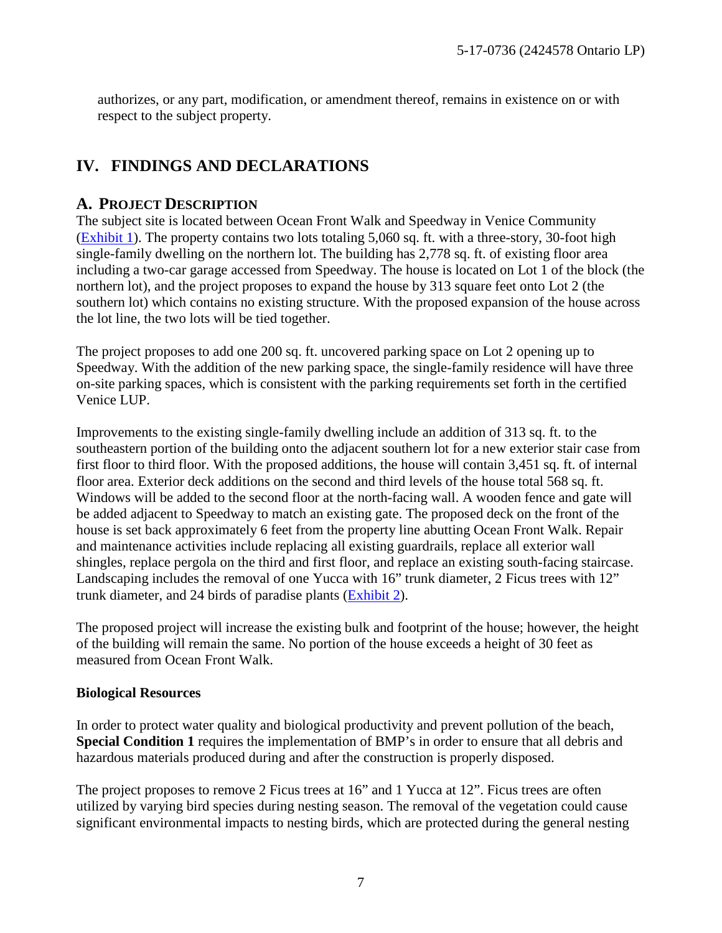authorizes, or any part, modification, or amendment thereof, remains in existence on or with respect to the subject property.

## <span id="page-6-0"></span>**IV. FINDINGS AND DECLARATIONS**

#### <span id="page-6-1"></span>**A. PROJECT DESCRIPTION**

The subject site is located between Ocean Front Walk and Speedway in Venice Community [\(Exhibit 1\)](https://documents.coastal.ca.gov/reports/2017/11/Th6d/Th6d-11-2017-exhibits.pdf). The property contains two lots totaling 5,060 sq. ft. with a three-story, 30-foot high single-family dwelling on the northern lot. The building has 2,778 sq. ft. of existing floor area including a two-car garage accessed from Speedway. The house is located on Lot 1 of the block (the northern lot), and the project proposes to expand the house by 313 square feet onto Lot 2 (the southern lot) which contains no existing structure. With the proposed expansion of the house across the lot line, the two lots will be tied together.

The project proposes to add one 200 sq. ft. uncovered parking space on Lot 2 opening up to Speedway. With the addition of the new parking space, the single-family residence will have three on-site parking spaces, which is consistent with the parking requirements set forth in the certified Venice LUP.

Improvements to the existing single-family dwelling include an addition of 313 sq. ft. to the southeastern portion of the building onto the adjacent southern lot for a new exterior stair case from first floor to third floor. With the proposed additions, the house will contain 3,451 sq. ft. of internal floor area. Exterior deck additions on the second and third levels of the house total 568 sq. ft. Windows will be added to the second floor at the north-facing wall. A wooden fence and gate will be added adjacent to Speedway to match an existing gate. The proposed deck on the front of the house is set back approximately 6 feet from the property line abutting Ocean Front Walk. Repair and maintenance activities include replacing all existing guardrails, replace all exterior wall shingles, replace pergola on the third and first floor, and replace an existing south-facing staircase. Landscaping includes the removal of one Yucca with 16" trunk diameter, 2 Ficus trees with 12" trunk diameter, and 24 birds of paradise plants [\(Exhibit 2\)](https://documents.coastal.ca.gov/reports/2017/11/Th6d/Th6d-11-2017-exhibits.pdf).

The proposed project will increase the existing bulk and footprint of the house; however, the height of the building will remain the same. No portion of the house exceeds a height of 30 feet as measured from Ocean Front Walk.

#### **Biological Resources**

In order to protect water quality and biological productivity and prevent pollution of the beach, **Special Condition 1** requires the implementation of BMP's in order to ensure that all debris and hazardous materials produced during and after the construction is properly disposed.

The project proposes to remove 2 Ficus trees at 16" and 1 Yucca at 12". Ficus trees are often utilized by varying bird species during nesting season. The removal of the vegetation could cause significant environmental impacts to nesting birds, which are protected during the general nesting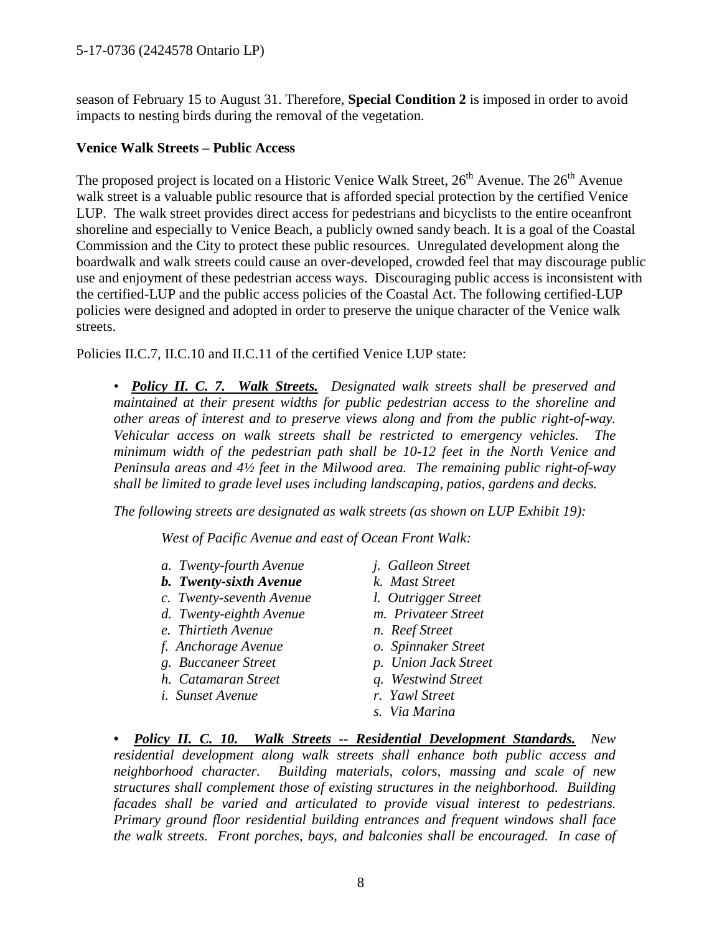season of February 15 to August 31. Therefore, **Special Condition 2** is imposed in order to avoid impacts to nesting birds during the removal of the vegetation.

#### **Venice Walk Streets – Public Access**

The proposed project is located on a Historic Venice Walk Street,  $26<sup>th</sup>$  Avenue. The  $26<sup>th</sup>$  Avenue walk street is a valuable public resource that is afforded special protection by the certified Venice LUP. The walk street provides direct access for pedestrians and bicyclists to the entire oceanfront shoreline and especially to Venice Beach, a publicly owned sandy beach. It is a goal of the Coastal Commission and the City to protect these public resources. Unregulated development along the boardwalk and walk streets could cause an over-developed, crowded feel that may discourage public use and enjoyment of these pedestrian access ways. Discouraging public access is inconsistent with the certified-LUP and the public access policies of the Coastal Act. The following certified-LUP policies were designed and adopted in order to preserve the unique character of the Venice walk streets.

Policies II.C.7, II.C.10 and II.C.11 of the certified Venice LUP state:

*• Policy II. C. 7. Walk Streets. Designated walk streets shall be preserved and maintained at their present widths for public pedestrian access to the shoreline and other areas of interest and to preserve views along and from the public right-of-way. Vehicular access on walk streets shall be restricted to emergency vehicles. The minimum width of the pedestrian path shall be 10-12 feet in the North Venice and Peninsula areas and 4½ feet in the Milwood area. The remaining public right-of-way shall be limited to grade level uses including landscaping, patios, gardens and decks.* 

*The following streets are designated as walk streets (as shown on LUP Exhibit 19):*

*West of Pacific Avenue and east of Ocean Front Walk:* 

| a. Twenty-fourth Avenue  | <i>i.</i> Galleon Street |  |
|--------------------------|--------------------------|--|
| b. Twenty-sixth Avenue   | k. Mast Street           |  |
| c. Twenty-seventh Avenue | l. Outrigger Street      |  |
| d. Twenty-eighth Avenue  | m. Privateer Street      |  |
| e. Thirtieth Avenue      | n. Reef Street           |  |
| f. Anchorage Avenue      | o. Spinnaker Street      |  |
| g. Buccaneer Street      | p. Union Jack Street     |  |
| h. Catamaran Street      | q. Westwind Street       |  |
| <i>i.</i> Sunset Avenue  | r. Yawl Street           |  |
|                          | s. Via Marina            |  |

*• Policy II. C. 10. Walk Streets -- Residential Development Standards. New residential development along walk streets shall enhance both public access and neighborhood character. Building materials, colors, massing and scale of new structures shall complement those of existing structures in the neighborhood. Building facades shall be varied and articulated to provide visual interest to pedestrians. Primary ground floor residential building entrances and frequent windows shall face the walk streets. Front porches, bays, and balconies shall be encouraged. In case of*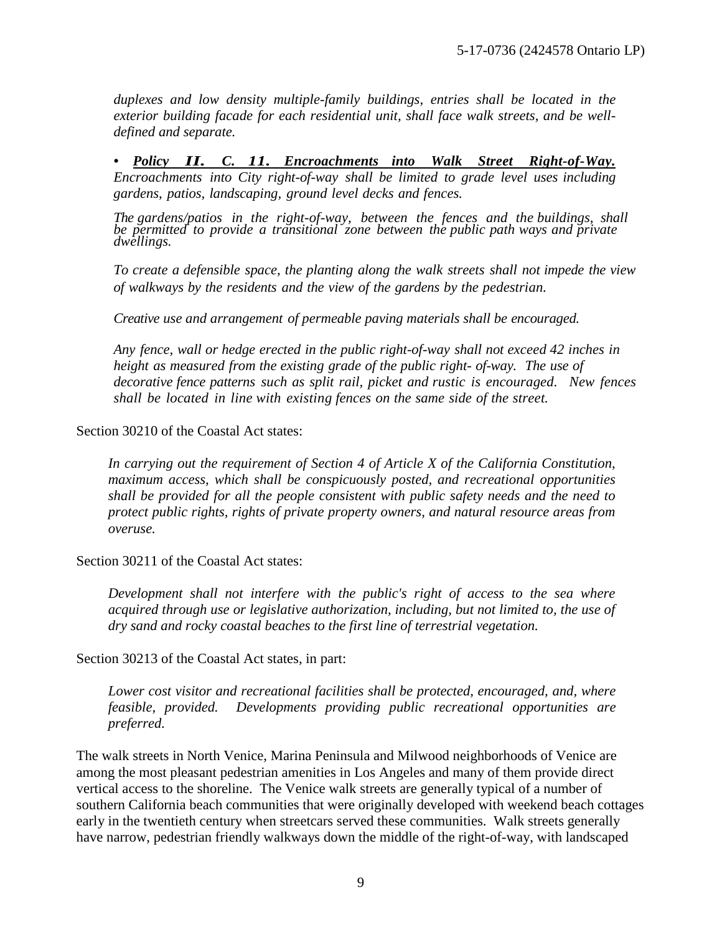*duplexes and low density multiple-family buildings, entries shall be located in the exterior building facade for each residential unit, shall face walk streets, and be welldefined and separate.* 

*• Policy II. C. 11. Encroachments into Walk Street Right-of-Way. Encroachments into City right-of-way shall be limited to grade level uses including gardens, patios, landscaping, ground level decks and fences.*

*The gardens/patios in the right-of-way, between the fences and the buildings, shall be permitted to provide a transitional zone between the public path ways and private dwellings.*

*To create a defensible space, the planting along the walk streets shall not impede the view of walkways by the residents and the view of the gardens by the pedestrian.* 

*Creative use and arrangement of permeable paving materials shall be encouraged.*

*Any fence, wall or hedge erected in the public right-of-way shall not exceed 42 inches in height as measured from the existing grade of the public right- of-way. The use of decorative fence patterns such as split rail, picket and rustic is encouraged. New fences shall be located in line with existing fences on the same side of the street.*

Section 30210 of the Coastal Act states:

*In carrying out the requirement of Section 4 of Article X of the California Constitution, maximum access, which shall be conspicuously posted, and recreational opportunities shall be provided for all the people consistent with public safety needs and the need to protect public rights, rights of private property owners, and natural resource areas from overuse.*

Section 30211 of the Coastal Act states:

*Development shall not interfere with the public's right of access to the sea where acquired through use or legislative authorization, including, but not limited to, the use of dry sand and rocky coastal beaches to the first line of terrestrial vegetation.* 

Section 30213 of the Coastal Act states, in part:

*Lower cost visitor and recreational facilities shall be protected, encouraged, and, where feasible, provided. Developments providing public recreational opportunities are preferred.*

The walk streets in North Venice, Marina Peninsula and Milwood neighborhoods of Venice are among the most pleasant pedestrian amenities in Los Angeles and many of them provide direct vertical access to the shoreline. The Venice walk streets are generally typical of a number of southern California beach communities that were originally developed with weekend beach cottages early in the twentieth century when streetcars served these communities. Walk streets generally have narrow, pedestrian friendly walkways down the middle of the right-of-way, with landscaped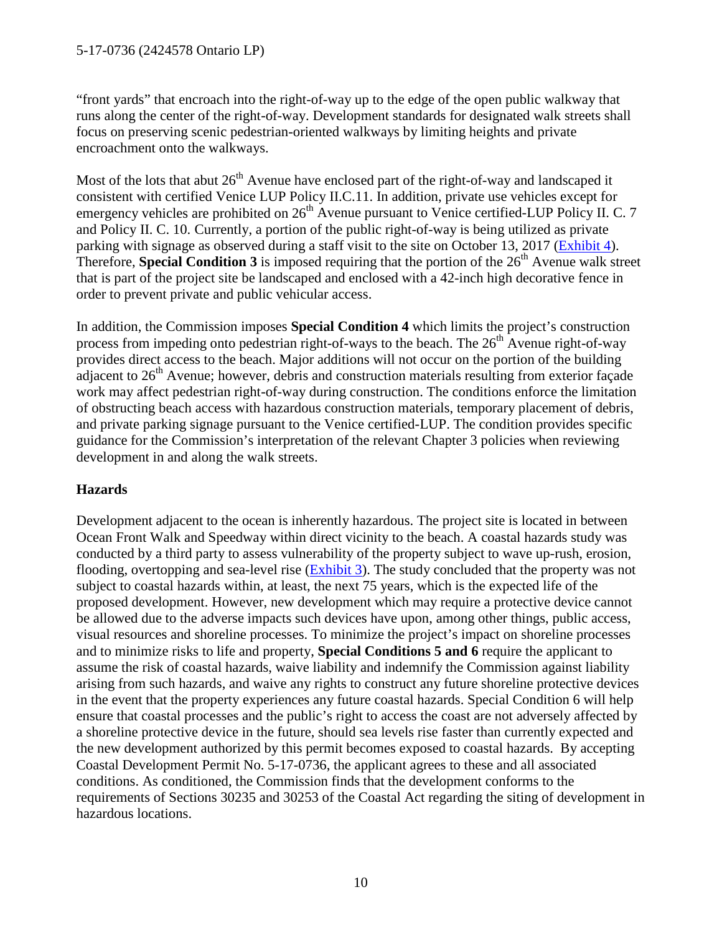"front yards" that encroach into the right-of-way up to the edge of the open public walkway that runs along the center of the right-of-way. Development standards for designated walk streets shall focus on preserving scenic pedestrian-oriented walkways by limiting heights and private encroachment onto the walkways.

Most of the lots that abut  $26<sup>th</sup>$  Avenue have enclosed part of the right-of-way and landscaped it consistent with certified Venice LUP Policy II.C.11. In addition, private use vehicles except for emergency vehicles are prohibited on  $26<sup>th</sup>$  Avenue pursuant to Venice certified-LUP Policy II. C. 7 and Policy II. C. 10. Currently, a portion of the public right-of-way is being utilized as private parking with signage as observed during a staff visit to the site on October 13, 2017 [\(Exhibit 4\)](https://documents.coastal.ca.gov/reports/2017/11/Th6d/Th6d-11-2017-exhibits.pdf). Therefore, **Special Condition 3** is imposed requiring that the portion of the 26<sup>th</sup> Avenue walk street that is part of the project site be landscaped and enclosed with a 42-inch high decorative fence in order to prevent private and public vehicular access.

In addition, the Commission imposes **Special Condition 4** which limits the project's construction process from impeding onto pedestrian right-of-ways to the beach. The  $26<sup>th</sup>$  Avenue right-of-way provides direct access to the beach. Major additions will not occur on the portion of the building adjacent to  $26<sup>th</sup>$  Avenue; however, debris and construction materials resulting from exterior façade work may affect pedestrian right-of-way during construction. The conditions enforce the limitation of obstructing beach access with hazardous construction materials, temporary placement of debris, and private parking signage pursuant to the Venice certified-LUP. The condition provides specific guidance for the Commission's interpretation of the relevant Chapter 3 policies when reviewing development in and along the walk streets.

#### **Hazards**

Development adjacent to the ocean is inherently hazardous. The project site is located in between Ocean Front Walk and Speedway within direct vicinity to the beach. A coastal hazards study was conducted by a third party to assess vulnerability of the property subject to wave up-rush, erosion, flooding, overtopping and sea-level rise (**Exhibit 3**). The study concluded that the property was not subject to coastal hazards within, at least, the next 75 years, which is the expected life of the proposed development. However, new development which may require a protective device cannot be allowed due to the adverse impacts such devices have upon, among other things, public access, visual resources and shoreline processes. To minimize the project's impact on shoreline processes and to minimize risks to life and property, **Special Conditions 5 and 6** require the applicant to assume the risk of coastal hazards, waive liability and indemnify the Commission against liability arising from such hazards, and waive any rights to construct any future shoreline protective devices in the event that the property experiences any future coastal hazards. Special Condition 6 will help ensure that coastal processes and the public's right to access the coast are not adversely affected by a shoreline protective device in the future, should sea levels rise faster than currently expected and the new development authorized by this permit becomes exposed to coastal hazards. By accepting Coastal Development Permit No. 5-17-0736, the applicant agrees to these and all associated conditions. As conditioned, the Commission finds that the development conforms to the requirements of Sections 30235 and 30253 of the Coastal Act regarding the siting of development in hazardous locations.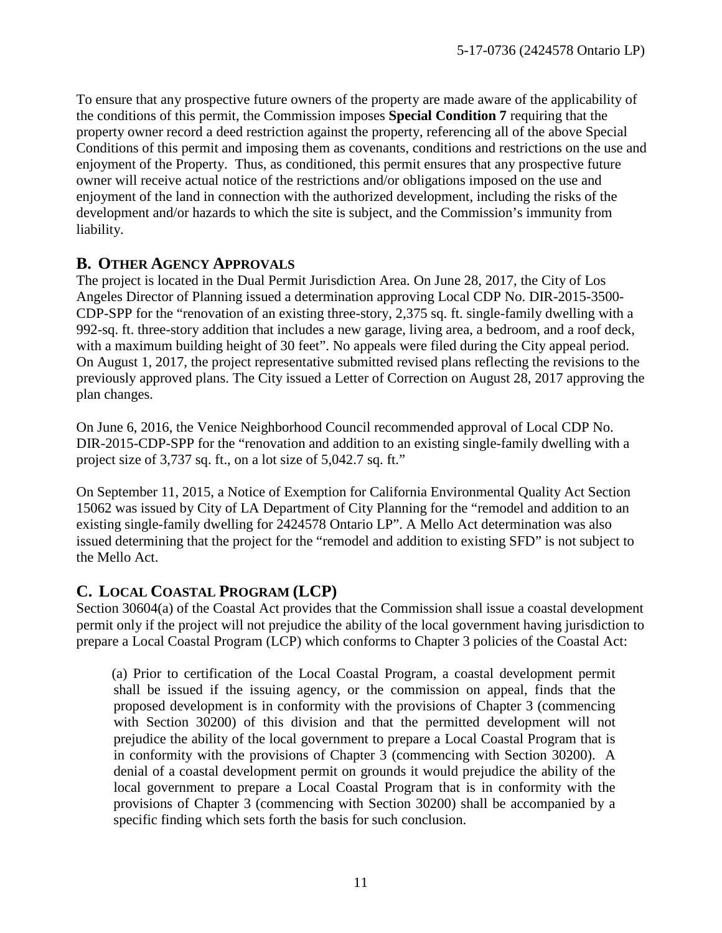To ensure that any prospective future owners of the property are made aware of the applicability of the conditions of this permit, the Commission imposes **Special Condition 7** requiring that the property owner record a deed restriction against the property, referencing all of the above Special Conditions of this permit and imposing them as covenants, conditions and restrictions on the use and enjoyment of the Property. Thus, as conditioned, this permit ensures that any prospective future owner will receive actual notice of the restrictions and/or obligations imposed on the use and enjoyment of the land in connection with the authorized development, including the risks of the development and/or hazards to which the site is subject, and the Commission's immunity from liability.

#### <span id="page-10-0"></span>**B. OTHER AGENCY APPROVALS**

The project is located in the Dual Permit Jurisdiction Area. On June 28, 2017, the City of Los Angeles Director of Planning issued a determination approving Local CDP No. DIR-2015-3500- CDP-SPP for the "renovation of an existing three-story, 2,375 sq. ft. single-family dwelling with a 992-sq. ft. three-story addition that includes a new garage, living area, a bedroom, and a roof deck, with a maximum building height of 30 feet". No appeals were filed during the City appeal period. On August 1, 2017, the project representative submitted revised plans reflecting the revisions to the previously approved plans. The City issued a Letter of Correction on August 28, 2017 approving the plan changes.

On June 6, 2016, the Venice Neighborhood Council recommended approval of Local CDP No. DIR-2015-CDP-SPP for the "renovation and addition to an existing single-family dwelling with a project size of 3,737 sq. ft., on a lot size of 5,042.7 sq. ft."

On September 11, 2015, a Notice of Exemption for California Environmental Quality Act Section 15062 was issued by City of LA Department of City Planning for the "remodel and addition to an existing single-family dwelling for 2424578 Ontario LP". A Mello Act determination was also issued determining that the project for the "remodel and addition to existing SFD" is not subject to the Mello Act.

## <span id="page-10-1"></span>**C. LOCAL COASTAL PROGRAM (LCP)**

Section 30604(a) of the Coastal Act provides that the Commission shall issue a coastal development permit only if the project will not prejudice the ability of the local government having jurisdiction to prepare a Local Coastal Program (LCP) which conforms to Chapter 3 policies of the Coastal Act:

(a) Prior to certification of the Local Coastal Program, a coastal development permit shall be issued if the issuing agency, or the commission on appeal, finds that the proposed development is in conformity with the provisions of Chapter 3 (commencing with Section 30200) of this division and that the permitted development will not prejudice the ability of the local government to prepare a Local Coastal Program that is in conformity with the provisions of Chapter 3 (commencing with Section 30200). A denial of a coastal development permit on grounds it would prejudice the ability of the local government to prepare a Local Coastal Program that is in conformity with the provisions of Chapter 3 (commencing with Section 30200) shall be accompanied by a specific finding which sets forth the basis for such conclusion.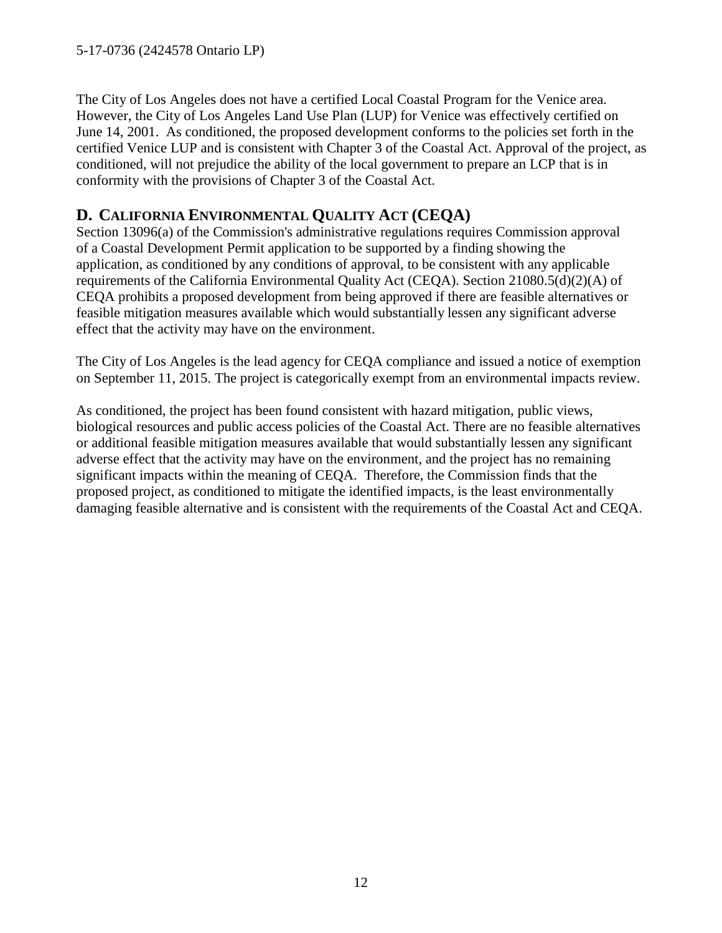The City of Los Angeles does not have a certified Local Coastal Program for the Venice area. However, the City of Los Angeles Land Use Plan (LUP) for Venice was effectively certified on June 14, 2001. As conditioned, the proposed development conforms to the policies set forth in the certified Venice LUP and is consistent with Chapter 3 of the Coastal Act. Approval of the project, as conditioned, will not prejudice the ability of the local government to prepare an LCP that is in conformity with the provisions of Chapter 3 of the Coastal Act.

## <span id="page-11-0"></span>**D. CALIFORNIA ENVIRONMENTAL QUALITY ACT (CEQA)**

Section 13096(a) of the Commission's administrative regulations requires Commission approval of a Coastal Development Permit application to be supported by a finding showing the application, as conditioned by any conditions of approval, to be consistent with any applicable requirements of the California Environmental Quality Act (CEQA). Section 21080.5(d)(2)(A) of CEQA prohibits a proposed development from being approved if there are feasible alternatives or feasible mitigation measures available which would substantially lessen any significant adverse effect that the activity may have on the environment.

The City of Los Angeles is the lead agency for CEQA compliance and issued a notice of exemption on September 11, 2015. The project is categorically exempt from an environmental impacts review.

As conditioned, the project has been found consistent with hazard mitigation, public views, biological resources and public access policies of the Coastal Act. There are no feasible alternatives or additional feasible mitigation measures available that would substantially lessen any significant adverse effect that the activity may have on the environment, and the project has no remaining significant impacts within the meaning of CEQA. Therefore, the Commission finds that the proposed project, as conditioned to mitigate the identified impacts, is the least environmentally damaging feasible alternative and is consistent with the requirements of the Coastal Act and CEQA.